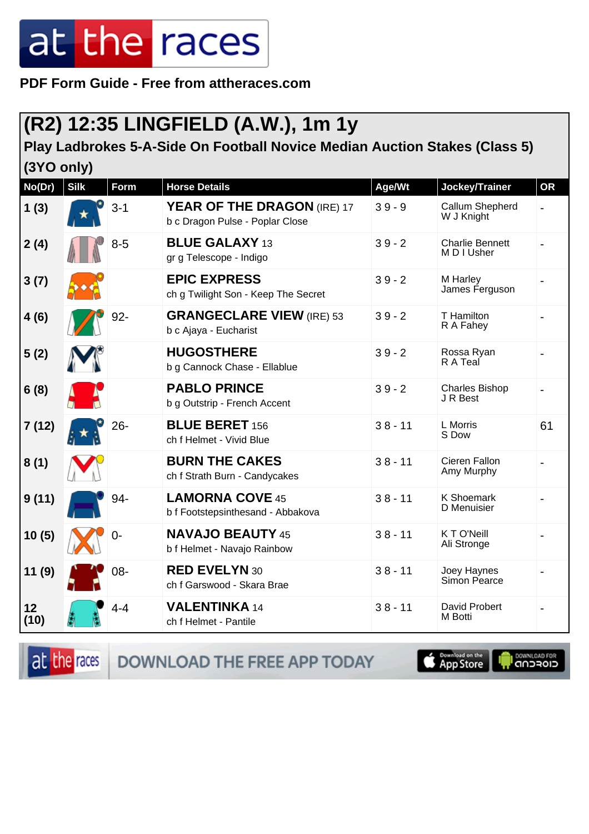**PDF Form Guide - Free from attheraces.com**

#### **(R2) 12:35 LINGFIELD (A.W.), 1m 1y**

#### **Play Ladbrokes 5-A-Side On Football Novice Median Auction Stakes (Class 5) (3YO only)**

| No(Dr)     | <b>Silk</b> | <b>Form</b> | <b>Horse Details</b>                                           | Age/Wt    | Jockey/Trainer                        | <b>OR</b> |
|------------|-------------|-------------|----------------------------------------------------------------|-----------|---------------------------------------|-----------|
| 1(3)       |             | $3 - 1$     | YEAR OF THE DRAGON (IRE) 17<br>b c Dragon Pulse - Poplar Close | $39 - 9$  | Callum Shepherd<br>W J Knight         |           |
| 2(4)       |             | $8 - 5$     | <b>BLUE GALAXY 13</b><br>gr g Telescope - Indigo               | $39 - 2$  | <b>Charlie Bennett</b><br>M D I Usher |           |
| 3(7)       |             |             | <b>EPIC EXPRESS</b><br>ch g Twilight Son - Keep The Secret     | $39 - 2$  | M Harley<br>James Ferguson            |           |
| 4(6)       |             | 92-         | <b>GRANGECLARE VIEW (IRE) 53</b><br>b c Ajaya - Eucharist      | $39 - 2$  | T Hamilton<br>R A Fahey               |           |
| 5(2)       |             |             | <b>HUGOSTHERE</b><br>b g Cannock Chase - Ellablue              | $39 - 2$  | Rossa Ryan<br>R A Teal                |           |
| 6(8)       |             |             | <b>PABLO PRINCE</b><br>b g Outstrip - French Accent            | $39 - 2$  | <b>Charles Bishop</b><br>J R Best     |           |
| 7(12)      |             | 26-         | <b>BLUE BERET 156</b><br>ch f Helmet - Vivid Blue              | $38 - 11$ | L Morris<br>S Dow                     | 61        |
| 8(1)       |             |             | <b>BURN THE CAKES</b><br>ch f Strath Burn - Candycakes         | $38 - 11$ | Cieren Fallon<br>Amy Murphy           |           |
| 9(11)      |             | 94-         | <b>LAMORNA COVE 45</b><br>b f Footstepsinthesand - Abbakova    | $38 - 11$ | <b>K Shoemark</b><br>D Menuisier      |           |
| 10(5)      |             | $0 -$       | <b>NAVAJO BEAUTY 45</b><br>b f Helmet - Navajo Rainbow         | $38 - 11$ | KTO'Neill<br>Ali Stronge              |           |
| 11(9)      |             | 08-         | <b>RED EVELYN 30</b><br>ch f Garswood - Skara Brae             | $38 - 11$ | Joey Haynes<br>Simon Pearce           |           |
| 12<br>(10) |             | $4 - 4$     | <b>VALENTINKA 14</b><br>ch f Helmet - Pantile                  | $38 - 11$ | David Probert<br>M Botti              |           |

at the races

DOWNLOAD THE FREE APP TODAY



**OOWNLOAD FOR**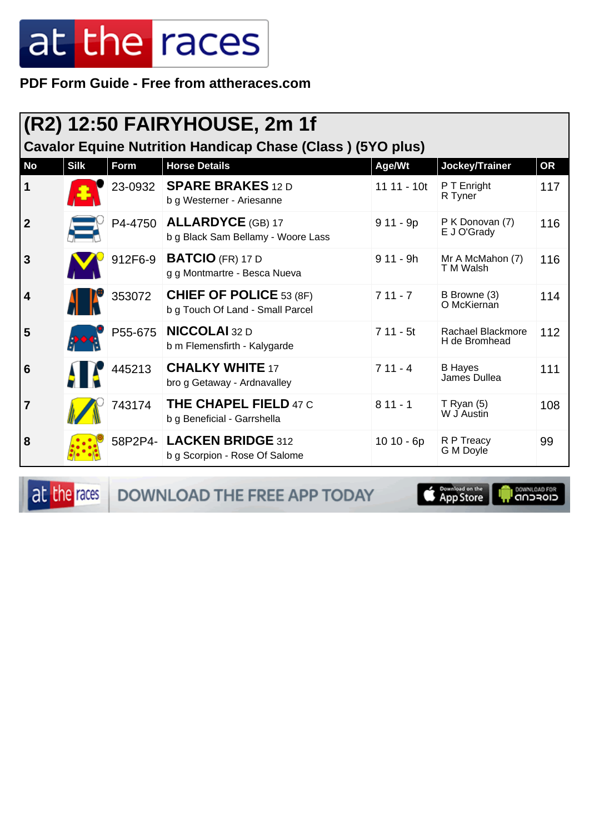PDF Form Guide - Free from attheraces.com

| (R2) 12:50 FAIRYHOUSE, 2m 1f<br><b>Cavalor Equine Nutrition Handicap Chase (Class) (5YO plus)</b> |             |         |                                                                    |               |                                    |           |  |
|---------------------------------------------------------------------------------------------------|-------------|---------|--------------------------------------------------------------------|---------------|------------------------------------|-----------|--|
| <b>No</b>                                                                                         | <b>Silk</b> | Form    | <b>Horse Details</b>                                               | Age/Wt        | Jockey/Trainer                     | <b>OR</b> |  |
| 1                                                                                                 |             | 23-0932 | <b>SPARE BRAKES 12 D</b><br>b g Westerner - Ariesanne              | $11 11 - 10t$ | P T Enright<br>R Tyner             | 117       |  |
| $\mathbf{2}$                                                                                      |             |         | P4-4750 ALLARDYCE (GB) 17<br>b g Black Sam Bellamy - Woore Lass    | $911 - 9p$    | P K Donovan (7)<br>E J O'Grady     | 116       |  |
| 3                                                                                                 |             | 912F6-9 | <b>BATCIO</b> (FR) 17 D<br>g g Montmartre - Besca Nueva            | $911 - 9h$    | Mr A McMahon (7)<br>T M Walsh      | 116       |  |
| 4                                                                                                 |             | 353072  | <b>CHIEF OF POLICE 53 (8F)</b><br>b g Touch Of Land - Small Parcel | $711 - 7$     | B Browne (3)<br>O McKiernan        | 114       |  |
| 5                                                                                                 |             | P55-675 | <b>NICCOLAI</b> 32 D<br>b m Flemensfirth - Kalygarde               | $711 - 5t$    | Rachael Blackmore<br>H de Bromhead | 112       |  |
| 6                                                                                                 |             | 445213  | <b>CHALKY WHITE 17</b><br>bro g Getaway - Ardnavalley              | $711 - 4$     | <b>B</b> Hayes<br>James Dullea     | 111       |  |
| $\overline{7}$                                                                                    |             | 743174  | <b>THE CHAPEL FIELD 47 C</b><br>b g Beneficial - Garrshella        | $811 - 1$     | $T$ Ryan (5)<br>W J Austin         | 108       |  |
| 8                                                                                                 |             |         | 58P2P4- LACKEN BRIDGE 312<br>b g Scorpion - Rose Of Salome         | $1010 - 6p$   | R P Treacy<br>G M Doyle            | 99        |  |

at the races

DOWNLOAD THE FREE APP TODAY



**I** DOWNLOAD FOR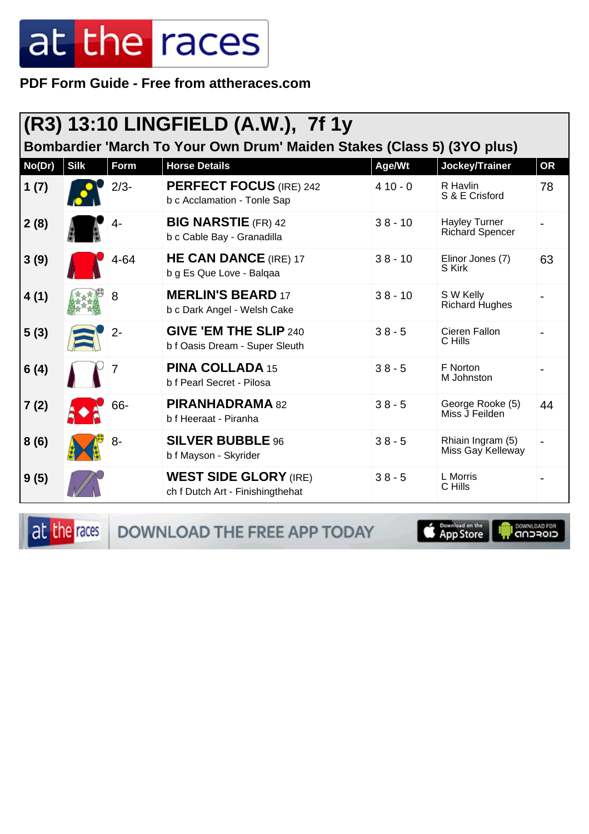**PDF Form Guide - Free from attheraces.com**

| (R3) 13:10 LINGFIELD (A.W.), 7f 1y<br>Bombardier 'March To Your Own Drum' Maiden Stakes (Class 5) (3YO plus) |             |         |                                                                  |           |                                                |           |  |
|--------------------------------------------------------------------------------------------------------------|-------------|---------|------------------------------------------------------------------|-----------|------------------------------------------------|-----------|--|
| No(Dr)                                                                                                       | <b>Silk</b> | Form    | <b>Horse Details</b>                                             | Age/Wt    | Jockey/Trainer                                 | <b>OR</b> |  |
| 1(7)                                                                                                         |             | $2/3 -$ | <b>PERFECT FOCUS (IRE) 242</b><br>b c Acclamation - Tonle Sap    | $410 - 0$ | R Havlin<br>S & E Crisford                     | 78        |  |
| 2(8)                                                                                                         |             | 4-      | <b>BIG NARSTIE</b> (FR) 42<br>b c Cable Bay - Granadilla         | $38 - 10$ | <b>Hayley Turner</b><br><b>Richard Spencer</b> |           |  |
| 3(9)                                                                                                         |             | 4-64    | <b>HE CAN DANCE (IRE) 17</b><br>b g Es Que Love - Balgaa         | $38 - 10$ | Elinor Jones (7)<br>S Kirk                     | 63        |  |
| 4(1)                                                                                                         |             | 8       | <b>MERLIN'S BEARD 17</b><br>b c Dark Angel - Welsh Cake          | $38 - 10$ | S W Kelly<br><b>Richard Hughes</b>             |           |  |
| 5(3)                                                                                                         |             | $2 -$   | <b>GIVE 'EM THE SLIP 240</b><br>b f Oasis Dream - Super Sleuth   | $38 - 5$  | Cieren Fallon<br>C Hills                       |           |  |
| 6(4)                                                                                                         |             |         | <b>PINA COLLADA 15</b><br>b f Pearl Secret - Pilosa              | $38 - 5$  | F Norton<br>M Johnston                         |           |  |
| 7(2)                                                                                                         |             | 66-     | PIRANHADRAMA 82<br>b f Heeraat - Piranha                         | $38 - 5$  | George Rooke (5)<br>Miss J Feilden             | 44        |  |
| 8(6)                                                                                                         |             | 8-      | <b>SILVER BUBBLE 96</b><br>b f Mayson - Skyrider                 | $38 - 5$  | Rhiain Ingram (5)<br>Miss Gay Kelleway         |           |  |
| 9(5)                                                                                                         |             |         | <b>WEST SIDE GLORY (IRE)</b><br>ch f Dutch Art - Finishingthehat | $38 - 5$  | L Morris<br>C Hills                            |           |  |

at the races DOWNLOAD THE FREE APP TODAY

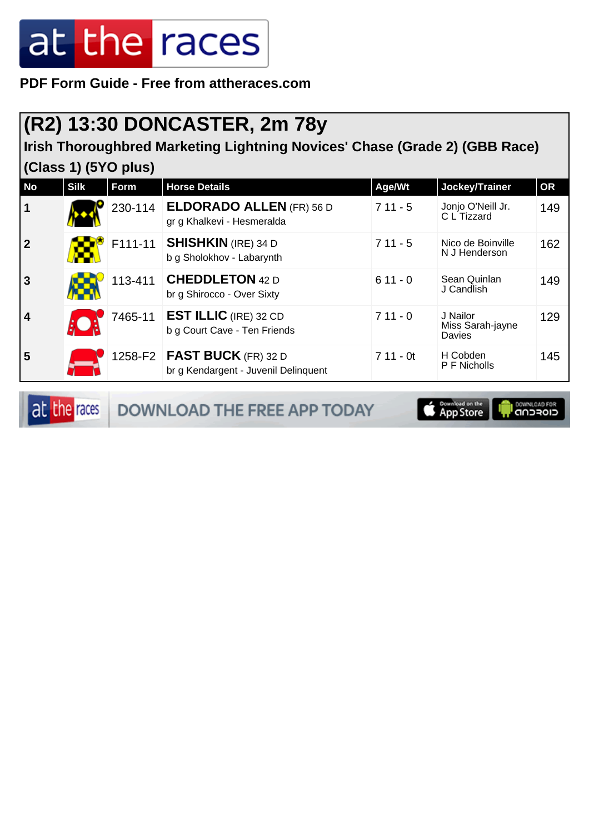**PDF Form Guide - Free from attheraces.com**

#### **(R2) 13:30 DONCASTER, 2m 78y**

**Irish Thoroughbred Marketing Lightning Novices' Chase (Grade 2) (GBB Race) (Class 1) (5YO plus)**

| <b>No</b>               | <b>Silk</b> | Form    | <b>Horse Details</b>                                                  | Age/Wt     | Jockey/Trainer                         | <b>OR</b> |
|-------------------------|-------------|---------|-----------------------------------------------------------------------|------------|----------------------------------------|-----------|
| $\mathbf 1$             |             | 230-114 | <b>ELDORADO ALLEN (FR) 56 D</b><br>gr g Khalkevi - Hesmeralda         | $711 - 5$  | Jonjo O'Neill Jr.<br>C L Tizzard       | 149       |
| $\overline{2}$          | Ń.          | F111-11 | <b>SHISHKIN</b> (IRE) 34 D<br>b g Sholokhov - Labarynth               | $711 - 5$  | Nico de Boinville<br>N J Henderson     | 162       |
| ვ                       |             | 113-411 | <b>CHEDDLETON 42 D</b><br>br g Shirocco - Over Sixty                  | $611 - 0$  | Sean Quinlan<br>J Candlish             | 149       |
| $\overline{\mathbf{4}}$ |             | 7465-11 | <b>EST ILLIC</b> (IRE) 32 CD<br>b g Court Cave - Ten Friends          | $711 - 0$  | J Nailor<br>Miss Sarah-jayne<br>Davies | 129       |
| 5                       |             |         | 1258-F2   FAST BUCK (FR) 32 D<br>br g Kendargent - Juvenil Delinquent | $711 - 0t$ | H Cobden<br>P F Nicholls               | 145       |

at the races

DOWNLOAD THE FREE APP TODAY

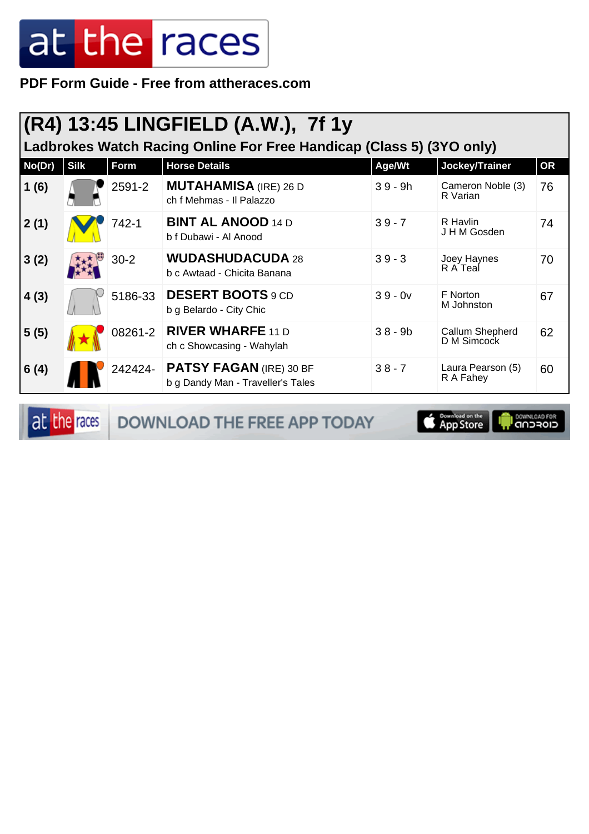**PDF Form Guide - Free from attheraces.com**

| (R4) 13:45 LINGFIELD (A.W.), 7f 1y<br>Ladbrokes Watch Racing Online For Free Handicap (Class 5) (3YO only) |             |          |                                                                     |           |                                |           |  |  |
|------------------------------------------------------------------------------------------------------------|-------------|----------|---------------------------------------------------------------------|-----------|--------------------------------|-----------|--|--|
| No(Dr)                                                                                                     | <b>Silk</b> | Form     | <b>Horse Details</b>                                                | Age/Wt    | Jockey/Trainer                 | <b>OR</b> |  |  |
| 1(6)                                                                                                       |             | 2591-2   | <b>MUTAHAMISA (IRE) 26 D</b><br>ch f Mehmas - Il Palazzo            | $39 - 9h$ | Cameron Noble (3)<br>R Varian  | 76        |  |  |
| 2(1)                                                                                                       |             | 742-1    | <b>BINT AL ANOOD 14 D</b><br>b f Dubawi - Al Anood                  | $39 - 7$  | R Havlin<br>J H M Gosden       | 74        |  |  |
| 3(2)                                                                                                       |             | $30 - 2$ | <b>WUDASHUDACUDA 28</b><br>b c Awtaad - Chicita Banana              | $39 - 3$  | Joey Haynes<br>R A Teal        | 70        |  |  |
| 4(3)                                                                                                       |             | 5186-33  | <b>DESERT BOOTS</b> 9 CD<br>b g Belardo - City Chic                 | $39 - 0v$ | F Norton<br>M Johnston         | 67        |  |  |
| 5(5)                                                                                                       |             | 08261-2  | <b>RIVER WHARFE 11 D</b><br>ch c Showcasing - Wahylah               | $38 - 9b$ | Callum Shepherd<br>D M Simcock | 62        |  |  |
| 6(4)                                                                                                       |             | 242424-  | <b>PATSY FAGAN</b> (IRE) 30 BF<br>b g Dandy Man - Traveller's Tales | $38 - 7$  | Laura Pearson (5)<br>R A Fahey | 60        |  |  |

at the races DOWNLOAD THE FREE APP TODAY

App Store **ELOFCUD**